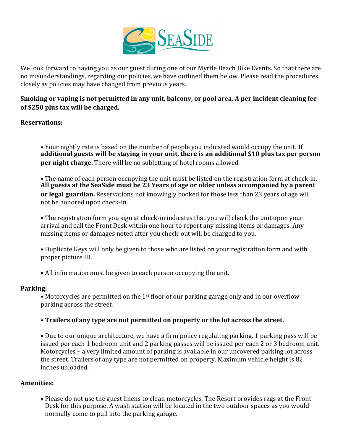

We look forward to having you as our guest during one of our Myrtle Beach Bike Events. So that there are no misunderstandings, regarding our policies, we have outlined them below. Please read the procedures closely as policies may have changed from previous years.

# **Smoking or vaping is not permitted in any unit, balcony, or pool area. A per incident cleaning fee of \$250 plus tax will be charged.**

## **Reservations:**

• Your nightly rate is based on the number of people you indicated would occupy the unit. If **additional guests will be staying in your unit, there is an additional \$10 plus tax per person per night charge.** There will be no subletting of hotel rooms allowed.

• The name of each person occupying the unit must be listed on the registration form at check-in. **All guests at the SeaSide must be 23 Years of age or older unless accompanied by a parent or legal guardian.** Reservations not knowingly booked for those less than 23 years of age will not be honored upon check-in.

• The registration form you sign at check-in indicates that you will check the unit upon your arrival and call the Front Desk within one hour to report any missing items or damages. Any missing items or damages noted after you check-out will be charged to you.

• Duplicate Keys will only be given to those who are listed on your registration form and with proper picture ID.

• All information must be given to each person occupying the unit.

## **Parking:**

• Motorcycles are permitted on the 1<sup>st</sup> floor of our parking garage only and in our overflow parking across the street.

# • Trailers of any type are not permitted on property or the lot across the street.

• Due to our unique architecture, we have a firm policy regulating parking. 1 parking pass will be issued per each 1 bedroom unit and 2 parking passes will be issued per each 2 or 3 bedroom unit. Motorcycles – a very limited amount of parking is available in our uncovered parking lot across the street. Trailers of any type are not permitted on property. Maximum vehicle height is 82 inches unloaded.

# **Amenities:**

• Please do not use the guest linens to clean motorcycles. The Resort provides rags at the Front Desk for this purpose. A wash station will be located in the two outdoor spaces as you would normally come to pull into the parking garage.